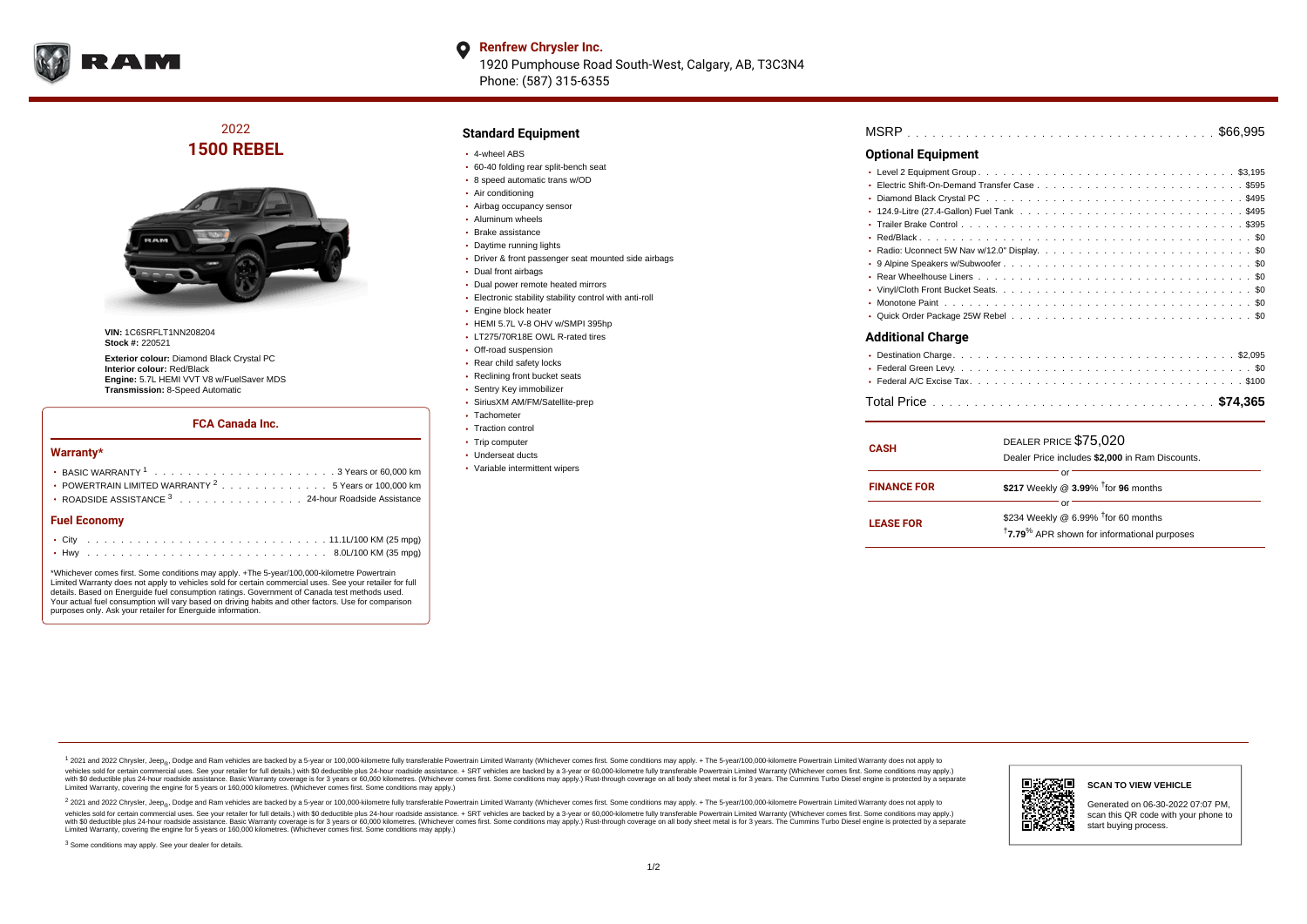

### **Renfrew Chrysler Inc.**  $\bullet$ 1920 Pumphouse Road South-West, Calgary, AB, T3C3N4 Phone: (587) 315-6355

## 2022 **1500 REBEL**



**VIN:** 1C6SRFLT1NN208204 **Stock #:** 220521

**Exterior colour:** Diamond Black Crystal PC **Interior colour:** Red/Black **Engine:** 5.7L HEMI VVT V8 w/FuelSaver MDS **Transmission:** 8-Speed Automatic

## **FCA Canada Inc.**

#### **Warranty\***

| <b>Fuel Economy</b>                                                                      |  |  |  |  |  |
|------------------------------------------------------------------------------------------|--|--|--|--|--|
| ROADSIDE ASSISTANCE 3 24-hour Roadside Assistance                                        |  |  |  |  |  |
| • POWERTRAIN LIMITED WARRANTY $2, \ldots, \ldots, \ldots, \ldots, 5$ Years or 100,000 km |  |  |  |  |  |
|                                                                                          |  |  |  |  |  |
|                                                                                          |  |  |  |  |  |

|        | . . |  |  |
|--------|-----|--|--|
|        |     |  |  |
|        |     |  |  |
|        |     |  |  |
| $\sim$ |     |  |  |

<sup>3</sup> Some conditions may apply. See your dealer for details.

\*Whichever comes first. Some conditions may apply. +The 5-year/100,000-kilometre Powertrain Limited Warranty does not apply to vehicles sold for certain commercial uses. See your retailer for full details. Based on Energuide fuel consumption ratings. Government of Canada test methods used. Your actual fuel consumption will vary based on driving habits and other factors. Use for comparison purposes only. Ask your retailer for Energuide information.

## **Standard Equipment**

- 4-wheel ABS
- 60-40 folding rear split-bench seat
- 8 speed automatic trans w/OD
- Air conditioning
- Airbag occupancy sensor
- Aluminum wheels
- Brake assistance
- Daytime running lights
- Driver & front passenger seat mounted side airbags
- Dual front airbags
- Dual power remote heated mirrors
- Electronic stability stability control with anti-roll
- **Engine block heater**
- HEMI 5.7L V-8 OHV w/SMPI 395hp
- LT275/70R18E OWL R-rated tires
- Off-road suspension
- Rear child safety locks
- Reclining front bucket seats
- Sentry Key immobilizer
- SiriusXM AM/FM/Satellite-prep
- Tachometer
- Traction control
- Trip computer
- Underseat ducts
- Variable intermittent wipers

| <b>MSRP</b> |  |  |  |  |  |  |  |  |  |  |  |  |  |  |  |  |  |  |  |  |  |  |  |  |  |  |  |  |  |  |  |  |  |  |  |  |  |  |
|-------------|--|--|--|--|--|--|--|--|--|--|--|--|--|--|--|--|--|--|--|--|--|--|--|--|--|--|--|--|--|--|--|--|--|--|--|--|--|--|
|-------------|--|--|--|--|--|--|--|--|--|--|--|--|--|--|--|--|--|--|--|--|--|--|--|--|--|--|--|--|--|--|--|--|--|--|--|--|--|--|

## **Optional Equipment**

| <b>Additional Charge</b> |  |
|--------------------------|--|
| $\sim$                   |  |

| <b>CASH</b>        | DEALER PRICE \$75,020<br>Dealer Price includes \$2,000 in Ram Discounts.                                                     |  |  |  |  |  |  |  |  |  |
|--------------------|------------------------------------------------------------------------------------------------------------------------------|--|--|--|--|--|--|--|--|--|
| <b>FINANCE FOR</b> | Ωľ<br>\$217 Weekly @ $3.99\%$ <sup>†</sup> for 96 months                                                                     |  |  |  |  |  |  |  |  |  |
| <b>LEASE FOR</b>   | or<br>\$234 Weekly @ 6.99% <sup>1</sup> for 60 months<br><sup>†</sup> 7.79 <sup>%</sup> APR shown for informational purposes |  |  |  |  |  |  |  |  |  |

1 2021 and 2022 Chrysler, Jeep<sub>er</sub>, Dodge and Ram vehicles are backed by a 5-year or 100,000-kilometre fully transferable Powertrain Limited Warranty (Whichever comes first. Some conditions may apply. + The 5-year/100,000vehicles sold for certain commercial uses. See your retailer for full details.) with \$0 deductible plus 24-hour roadside assistance. + SRT vehicles are backed by a 3-year or 60,000-kilometre fully transferable Powertrain L versus and contract the mean of the contract of the contract with a contract with a contract the contract of the search of the contract and a control of the contract and contract and control of the search of the search of Limited Warranty, covering the engine for 5 years or 160,000 kilometres. (Whichever comes first. Some conditions may apply.)

<sup>2</sup> 2021 and 2022 Chrysler, Jeep<sub>®</sub>, Dodge and Ram vehicles are backed by a 5-year or 100,000-kilometre fully transferable Powertrain Limited Warranty (Whichever comes first. Some conditions may apply. + The 5-year/100,000 vehicles sold for certain commercial uses. See your retailer for full details.) with SO deductible plus 24-hour roadside assistance. + SRT vehicles are backed by a 3-year or 60.000-kilometre fully transferable Powertrain. with S0 deductible plus 24-hour roadside assistance. Basic Warranty coverage is for 3 years or 60,000 kilometres. (Whichever comes first. Some conditions may apply.) Rust-through coverage on all body sheet metal is for 3 y





Generated on 06-30-2022 07:07 PM, scan this QR code with your phone to start buying process.